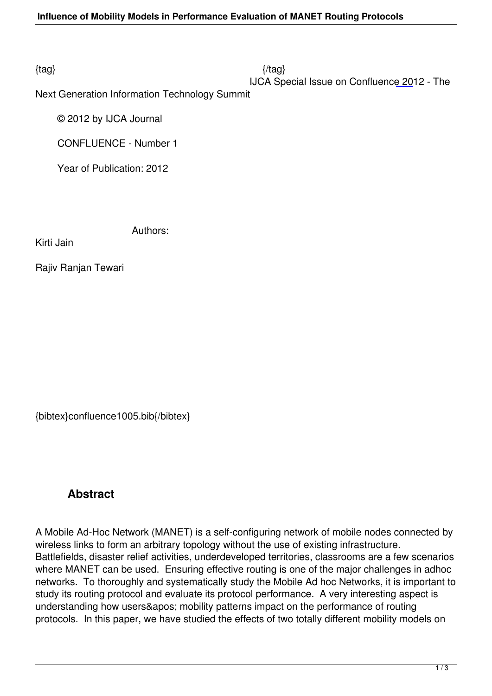$\{tag\}$ 

## IJCA Special Issue on Confluence 2012 - The

Next Generation Information Technology Summit

© 2012 by IJCA Journal

CONFLUENCE - Number 1

Year of Publication: 2012

Authors:

Kirti Jain

Rajiv Ranjan Tewari

{bibtex}confluence1005.bib{/bibtex}

## **Abstract**

A Mobile Ad-Hoc Network (MANET) is a self-configuring network of mobile nodes connected by wireless links to form an arbitrary topology without the use of existing infrastructure. Battlefields, disaster relief activities, underdeveloped territories, classrooms are a few scenarios where MANET can be used. Ensuring effective routing is one of the major challenges in adhoc networks. To thoroughly and systematically study the Mobile Ad hoc Networks, it is important to study its routing protocol and evaluate its protocol performance. A very interesting aspect is understanding how users' mobility patterns impact on the performance of routing protocols. In this paper, we have studied the effects of two totally different mobility models on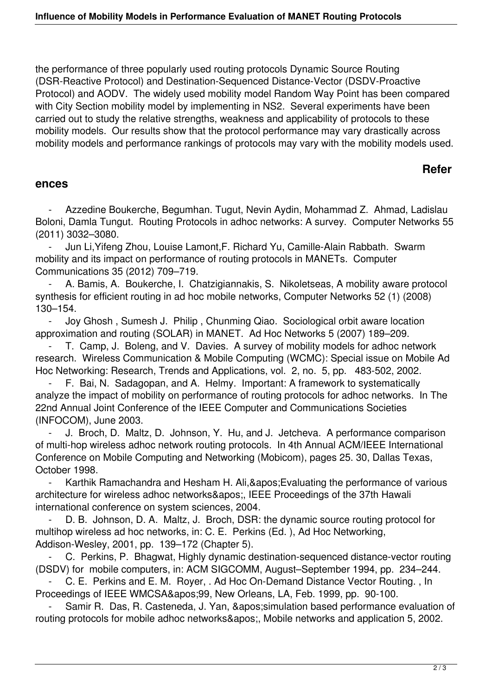the performance of three popularly used routing protocols Dynamic Source Routing (DSR-Reactive Protocol) and Destination-Sequenced Distance-Vector (DSDV-Proactive Protocol) and AODV. The widely used mobility model Random Way Point has been compared with City Section mobility model by implementing in NS2. Several experiments have been carried out to study the relative strengths, weakness and applicability of protocols to these mobility models. Our results show that the protocol performance may vary drastically across mobility models and performance rankings of protocols may vary with the mobility models used.

## **Refer**

## **ences**

Azzedine Boukerche, Begumhan. Tugut, Nevin Aydin, Mohammad Z. Ahmad, Ladislau Boloni, Damla Tungut. Routing Protocols in adhoc networks: A survey. Computer Networks 55 (2011) 3032–3080.

 - Jun Li,Yifeng Zhou, Louise Lamont,F. Richard Yu, Camille-Alain Rabbath. Swarm mobility and its impact on performance of routing protocols in MANETs. Computer Communications 35 (2012) 709–719.

A. Bamis, A. Boukerche, I. Chatzigiannakis, S. Nikoletseas, A mobility aware protocol synthesis for efficient routing in ad hoc mobile networks, Computer Networks 52 (1) (2008) 130–154.

 - Joy Ghosh , Sumesh J. Philip , Chunming Qiao. Sociological orbit aware location approximation and routing (SOLAR) in MANET. Ad Hoc Networks 5 (2007) 189–209.

T. Camp, J. Boleng, and V. Davies. A survey of mobility models for adhoc network research. Wireless Communication & Mobile Computing (WCMC): Special issue on Mobile Ad Hoc Networking: Research, Trends and Applications, vol. 2, no. 5, pp. 483-502, 2002.

F. Bai, N. Sadagopan, and A. Helmy. Important: A framework to systematically analyze the impact of mobility on performance of routing protocols for adhoc networks. In The 22nd Annual Joint Conference of the IEEE Computer and Communications Societies (INFOCOM), June 2003.

J. Broch, D. Maltz, D. Johnson, Y. Hu, and J. Jetcheva. A performance comparison of multi-hop wireless adhoc network routing protocols. In 4th Annual ACM/IEEE International Conference on Mobile Computing and Networking (Mobicom), pages 25. 30, Dallas Texas, October 1998.

Karthik Ramachandra and Hesham H. Ali, & apos; Evaluating the performance of various architecture for wireless adhoc networks', IEEE Proceedings of the 37th Hawali international conference on system sciences, 2004.

D. B. Johnson, D. A. Maltz, J. Broch, DSR: the dynamic source routing protocol for multihop wireless ad hoc networks, in: C. E. Perkins (Ed. ), Ad Hoc Networking, Addison-Wesley, 2001, pp. 139–172 (Chapter 5).

 - C. Perkins, P. Bhagwat, Highly dynamic destination-sequenced distance-vector routing (DSDV) for mobile computers, in: ACM SIGCOMM, August–September 1994, pp. 234–244.

 - C. E. Perkins and E. M. Royer, . Ad Hoc On-Demand Distance Vector Routing. , In Proceedings of IEEE WMCSA&apos: 99, New Orleans, LA, Feb. 1999, pp. 90-100.

Samir R. Das, R. Casteneda, J. Yan, ' simulation based performance evaluation of routing protocols for mobile adhoc networks', Mobile networks and application 5, 2002.